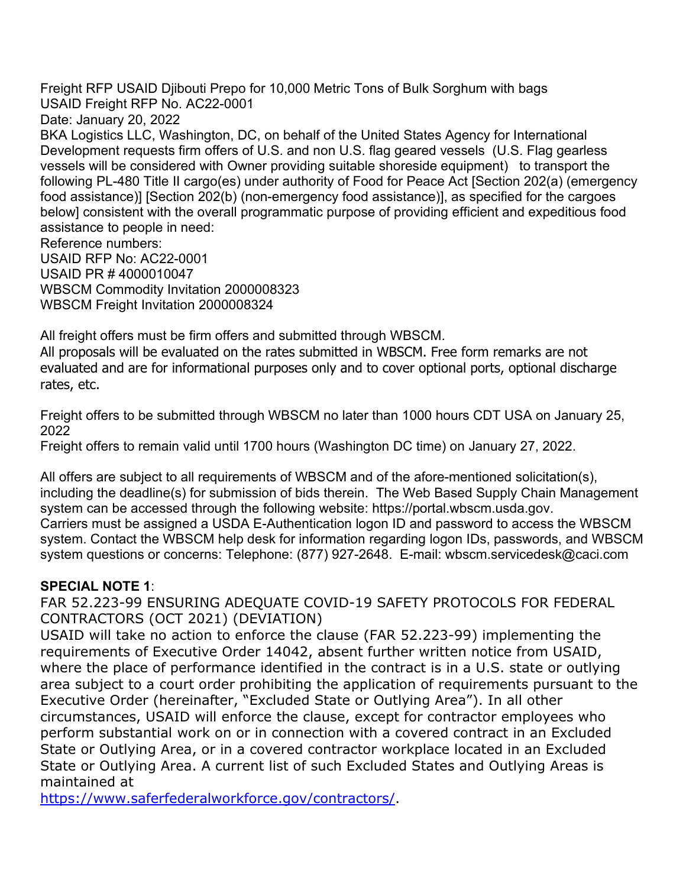Freight RFP USAID Djibouti Prepo for 10,000 Metric Tons of Bulk Sorghum with bags USAID Freight RFP No. AC22-0001 Date: January 20, 2022 BKA Logistics LLC, Washington, DC, on behalf of the United States Agency for International Development requests firm offers of U.S. and non U.S. flag geared vessels (U.S. Flag gearless vessels will be considered with Owner providing suitable shoreside equipment) to transport the following PL-480 Title II cargo(es) under authority of Food for Peace Act [Section 202(a) (emergency food assistance)] [Section 202(b) (non-emergency food assistance)], as specified for the cargoes below] consistent with the overall programmatic purpose of providing efficient and expeditious food assistance to people in need: Reference numbers: USAID RFP No: AC22-0001 USAID PR # 4000010047

WBSCM Commodity Invitation 2000008323 WBSCM Freight Invitation 2000008324

All freight offers must be firm offers and submitted through WBSCM.

All proposals will be evaluated on the rates submitted in WBSCM. Free form remarks are not evaluated and are for informational purposes only and to cover optional ports, optional discharge rates, etc.

Freight offers to be submitted through WBSCM no later than 1000 hours CDT USA on January 25, 2022

Freight offers to remain valid until 1700 hours (Washington DC time) on January 27, 2022.

All offers are subject to all requirements of WBSCM and of the afore-mentioned solicitation(s), including the deadline(s) for submission of bids therein. The Web Based Supply Chain Management system can be accessed through the following website: https://portal.wbscm.usda.gov. Carriers must be assigned a USDA E-Authentication logon ID and password to access the WBSCM system. Contact the WBSCM help desk for information regarding logon IDs, passwords, and WBSCM system questions or concerns: Telephone: (877) 927-2648. E-mail: wbscm.servicedesk@caci.com

## **SPECIAL NOTE 1**:

FAR 52.223-99 ENSURING ADEQUATE COVID-19 SAFETY PROTOCOLS FOR FEDERAL CONTRACTORS (OCT 2021) (DEVIATION)

USAID will take no action to enforce the clause (FAR 52.223-99) implementing the requirements of Executive Order 14042, absent further written notice from USAID, where the place of performance identified in the contract is in a U.S. state or outlying area subject to a court order prohibiting the application of requirements pursuant to the Executive Order (hereinafter, "Excluded State or Outlying Area"). In all other circumstances, USAID will enforce the clause, except for contractor employees who perform substantial work on or in connection with a covered contract in an Excluded State or Outlying Area, or in a covered contractor workplace located in an Excluded State or Outlying Area. A current list of such Excluded States and Outlying Areas is maintained at

https://www.saferfederalworkforce.gov/contractors/.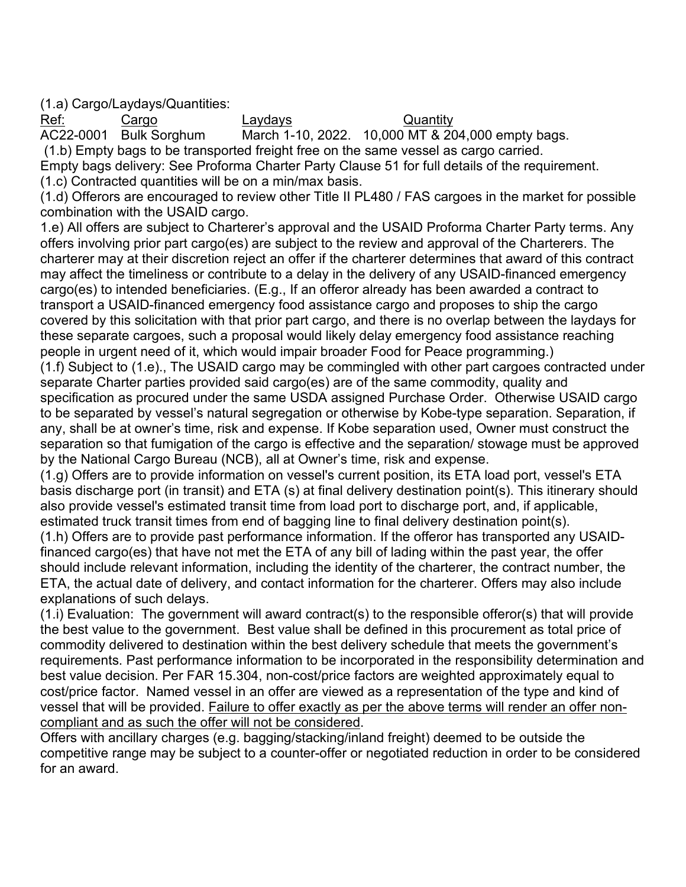(1.a) Cargo/Laydays/Quantities:

Ref: Cargo Cargo Laydays Pef: Cargo Cuantity<br>AC22-0001 Bulk Sorghum March 1-10, 2022. 10,000 MT & 20 March 1-10, 2022. 10,000 MT & 204,000 empty bags. (1.b) Empty bags to be transported freight free on the same vessel as cargo carried. Empty bags delivery: See Proforma Charter Party Clause 51 for full details of the requirement. (1.c) Contracted quantities will be on a min/max basis.

(1.d) Offerors are encouraged to review other Title II PL480 / FAS cargoes in the market for possible combination with the USAID cargo.

1.e) All offers are subject to Charterer's approval and the USAID Proforma Charter Party terms. Any offers involving prior part cargo(es) are subject to the review and approval of the Charterers. The charterer may at their discretion reject an offer if the charterer determines that award of this contract may affect the timeliness or contribute to a delay in the delivery of any USAID-financed emergency cargo(es) to intended beneficiaries. (E.g., If an offeror already has been awarded a contract to transport a USAID-financed emergency food assistance cargo and proposes to ship the cargo covered by this solicitation with that prior part cargo, and there is no overlap between the laydays for these separate cargoes, such a proposal would likely delay emergency food assistance reaching people in urgent need of it, which would impair broader Food for Peace programming.) (1.f) Subject to (1.e)., The USAID cargo may be commingled with other part cargoes contracted under separate Charter parties provided said cargo(es) are of the same commodity, quality and

specification as procured under the same USDA assigned Purchase Order. Otherwise USAID cargo to be separated by vessel's natural segregation or otherwise by Kobe-type separation. Separation, if any, shall be at owner's time, risk and expense. If Kobe separation used, Owner must construct the separation so that fumigation of the cargo is effective and the separation/ stowage must be approved by the National Cargo Bureau (NCB), all at Owner's time, risk and expense.

(1.g) Offers are to provide information on vessel's current position, its ETA load port, vessel's ETA basis discharge port (in transit) and ETA (s) at final delivery destination point(s). This itinerary should also provide vessel's estimated transit time from load port to discharge port, and, if applicable, estimated truck transit times from end of bagging line to final delivery destination point(s).

(1.h) Offers are to provide past performance information. If the offeror has transported any USAIDfinanced cargo(es) that have not met the ETA of any bill of lading within the past year, the offer should include relevant information, including the identity of the charterer, the contract number, the ETA, the actual date of delivery, and contact information for the charterer. Offers may also include explanations of such delays.

(1.i) Evaluation: The government will award contract(s) to the responsible offeror(s) that will provide the best value to the government. Best value shall be defined in this procurement as total price of commodity delivered to destination within the best delivery schedule that meets the government's requirements. Past performance information to be incorporated in the responsibility determination and best value decision. Per FAR 15.304, non-cost/price factors are weighted approximately equal to cost/price factor. Named vessel in an offer are viewed as a representation of the type and kind of vessel that will be provided. Failure to offer exactly as per the above terms will render an offer noncompliant and as such the offer will not be considered.

Offers with ancillary charges (e.g. bagging/stacking/inland freight) deemed to be outside the competitive range may be subject to a counter-offer or negotiated reduction in order to be considered for an award.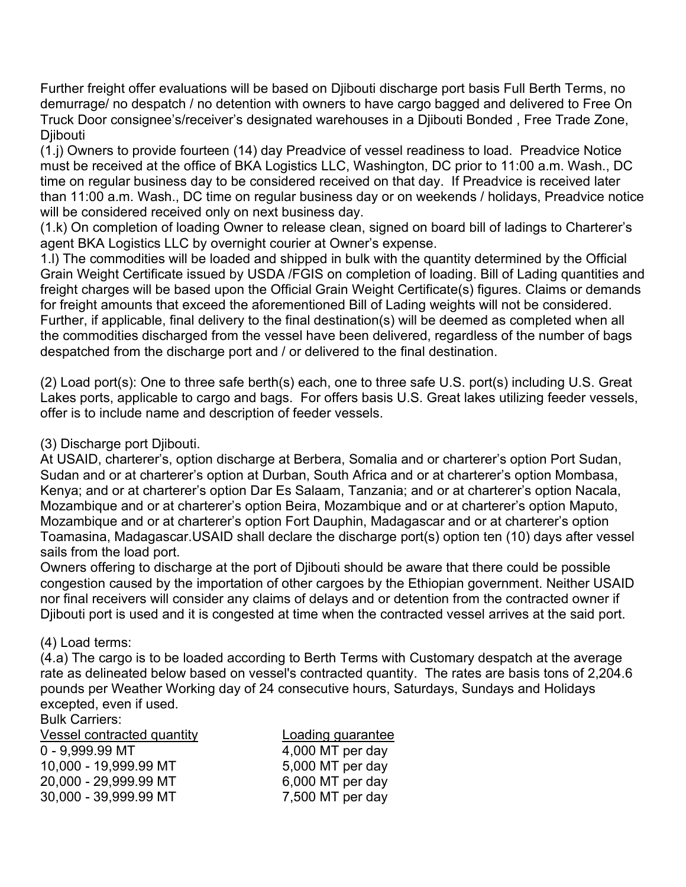Further freight offer evaluations will be based on Djibouti discharge port basis Full Berth Terms, no demurrage/ no despatch / no detention with owners to have cargo bagged and delivered to Free On Truck Door consignee's/receiver's designated warehouses in a Djibouti Bonded , Free Trade Zone, **Djibouti** 

(1.j) Owners to provide fourteen (14) day Preadvice of vessel readiness to load. Preadvice Notice must be received at the office of BKA Logistics LLC, Washington, DC prior to 11:00 a.m. Wash., DC time on regular business day to be considered received on that day. If Preadvice is received later than 11:00 a.m. Wash., DC time on regular business day or on weekends / holidays, Preadvice notice will be considered received only on next business day.

(1.k) On completion of loading Owner to release clean, signed on board bill of ladings to Charterer's agent BKA Logistics LLC by overnight courier at Owner's expense.

1.l) The commodities will be loaded and shipped in bulk with the quantity determined by the Official Grain Weight Certificate issued by USDA /FGIS on completion of loading. Bill of Lading quantities and freight charges will be based upon the Official Grain Weight Certificate(s) figures. Claims or demands for freight amounts that exceed the aforementioned Bill of Lading weights will not be considered. Further, if applicable, final delivery to the final destination(s) will be deemed as completed when all the commodities discharged from the vessel have been delivered, regardless of the number of bags despatched from the discharge port and / or delivered to the final destination.

(2) Load port(s): One to three safe berth(s) each, one to three safe U.S. port(s) including U.S. Great Lakes ports, applicable to cargo and bags. For offers basis U.S. Great lakes utilizing feeder vessels, offer is to include name and description of feeder vessels.

(3) Discharge port Djibouti.

At USAID, charterer's, option discharge at Berbera, Somalia and or charterer's option Port Sudan, Sudan and or at charterer's option at Durban, South Africa and or at charterer's option Mombasa, Kenya; and or at charterer's option Dar Es Salaam, Tanzania; and or at charterer's option Nacala, Mozambique and or at charterer's option Beira, Mozambique and or at charterer's option Maputo, Mozambique and or at charterer's option Fort Dauphin, Madagascar and or at charterer's option Toamasina, Madagascar.USAID shall declare the discharge port(s) option ten (10) days after vessel sails from the load port.

Owners offering to discharge at the port of Djibouti should be aware that there could be possible congestion caused by the importation of other cargoes by the Ethiopian government. Neither USAID nor final receivers will consider any claims of delays and or detention from the contracted owner if Djibouti port is used and it is congested at time when the contracted vessel arrives at the said port.

## (4) Load terms:

(4.a) The cargo is to be loaded according to Berth Terms with Customary despatch at the average rate as delineated below based on vessel's contracted quantity. The rates are basis tons of 2,204.6 pounds per Weather Working day of 24 consecutive hours, Saturdays, Sundays and Holidays excepted, even if used.

Bulk Carriers:

| Vessel contracted quantity | Loading guarantee |
|----------------------------|-------------------|
| $0 - 9,999.99$ MT          | 4,000 MT per day  |
| 10,000 - 19,999.99 MT      | 5,000 MT per day  |
| 20,000 - 29,999.99 MT      | 6,000 MT per day  |
| 30,000 - 39,999.99 MT      | 7,500 MT per day  |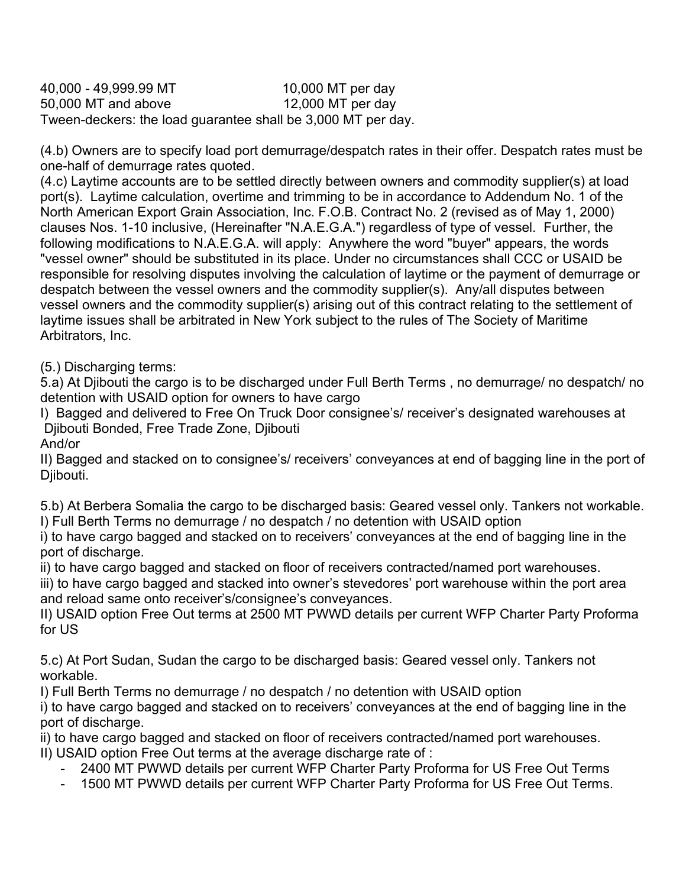40,000 - 49,999.99 MT 10,000 MT per day 50,000 MT and above 12,000 MT per day Tween-deckers: the load guarantee shall be 3,000 MT per day.

(4.b) Owners are to specify load port demurrage/despatch rates in their offer. Despatch rates must be one-half of demurrage rates quoted.

(4.c) Laytime accounts are to be settled directly between owners and commodity supplier(s) at load port(s). Laytime calculation, overtime and trimming to be in accordance to Addendum No. 1 of the North American Export Grain Association, Inc. F.O.B. Contract No. 2 (revised as of May 1, 2000) clauses Nos. 1-10 inclusive, (Hereinafter "N.A.E.G.A.") regardless of type of vessel. Further, the following modifications to N.A.E.G.A. will apply: Anywhere the word "buyer" appears, the words "vessel owner" should be substituted in its place. Under no circumstances shall CCC or USAID be responsible for resolving disputes involving the calculation of laytime or the payment of demurrage or despatch between the vessel owners and the commodity supplier(s). Any/all disputes between vessel owners and the commodity supplier(s) arising out of this contract relating to the settlement of laytime issues shall be arbitrated in New York subject to the rules of The Society of Maritime Arbitrators, Inc.

(5.) Discharging terms:

5.a) At Djibouti the cargo is to be discharged under Full Berth Terms , no demurrage/ no despatch/ no detention with USAID option for owners to have cargo

I) Bagged and delivered to Free On Truck Door consignee's/ receiver's designated warehouses at Djibouti Bonded, Free Trade Zone, Djibouti

And/or

II) Bagged and stacked on to consignee's/ receivers' conveyances at end of bagging line in the port of Djibouti.

5.b) At Berbera Somalia the cargo to be discharged basis: Geared vessel only. Tankers not workable. I) Full Berth Terms no demurrage / no despatch / no detention with USAID option

i) to have cargo bagged and stacked on to receivers' conveyances at the end of bagging line in the port of discharge.

ii) to have cargo bagged and stacked on floor of receivers contracted/named port warehouses.

iii) to have cargo bagged and stacked into owner's stevedores' port warehouse within the port area and reload same onto receiver's/consignee's conveyances.

II) USAID option Free Out terms at 2500 MT PWWD details per current WFP Charter Party Proforma for US

5.c) At Port Sudan, Sudan the cargo to be discharged basis: Geared vessel only. Tankers not workable.

I) Full Berth Terms no demurrage / no despatch / no detention with USAID option

i) to have cargo bagged and stacked on to receivers' conveyances at the end of bagging line in the port of discharge.

ii) to have cargo bagged and stacked on floor of receivers contracted/named port warehouses. II) USAID option Free Out terms at the average discharge rate of :

- 2400 MT PWWD details per current WFP Charter Party Proforma for US Free Out Terms
- 1500 MT PWWD details per current WFP Charter Party Proforma for US Free Out Terms.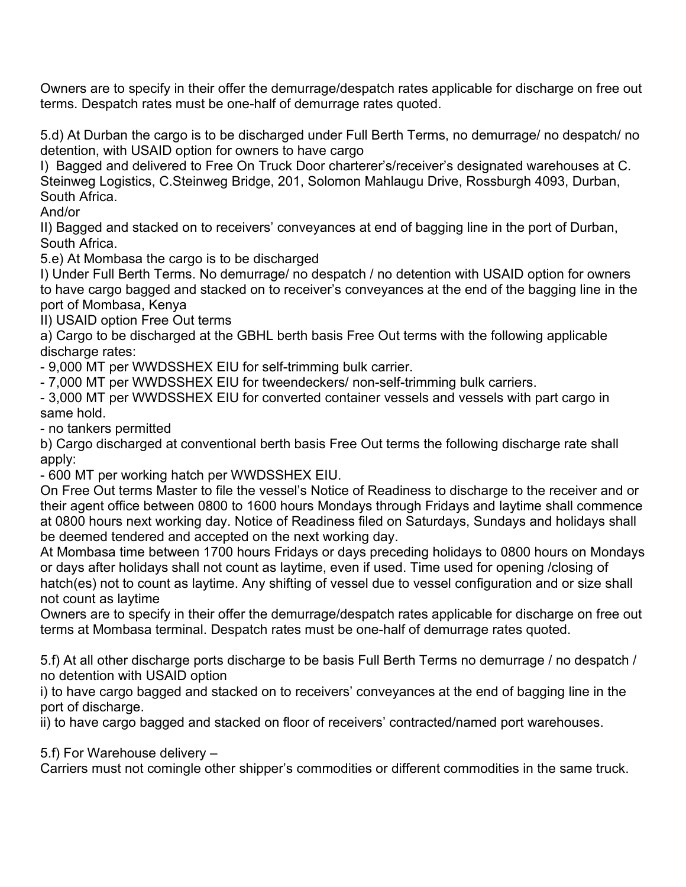Owners are to specify in their offer the demurrage/despatch rates applicable for discharge on free out terms. Despatch rates must be one-half of demurrage rates quoted.

5.d) At Durban the cargo is to be discharged under Full Berth Terms, no demurrage/ no despatch/ no detention, with USAID option for owners to have cargo

I) Bagged and delivered to Free On Truck Door charterer's/receiver's designated warehouses at C. Steinweg Logistics, C.Steinweg Bridge, 201, Solomon Mahlaugu Drive, Rossburgh 4093, Durban, South Africa.

And/or

II) Bagged and stacked on to receivers' conveyances at end of bagging line in the port of Durban, South Africa.

5.e) At Mombasa the cargo is to be discharged

I) Under Full Berth Terms. No demurrage/ no despatch / no detention with USAID option for owners to have cargo bagged and stacked on to receiver's conveyances at the end of the bagging line in the port of Mombasa, Kenya

II) USAID option Free Out terms

a) Cargo to be discharged at the GBHL berth basis Free Out terms with the following applicable discharge rates:

- 9,000 MT per WWDSSHEX EIU for self-trimming bulk carrier.

- 7,000 MT per WWDSSHEX EIU for tweendeckers/ non-self-trimming bulk carriers.

- 3,000 MT per WWDSSHEX EIU for converted container vessels and vessels with part cargo in same hold.

- no tankers permitted

b) Cargo discharged at conventional berth basis Free Out terms the following discharge rate shall apply:

- 600 MT per working hatch per WWDSSHEX EIU.

On Free Out terms Master to file the vessel's Notice of Readiness to discharge to the receiver and or their agent office between 0800 to 1600 hours Mondays through Fridays and laytime shall commence at 0800 hours next working day. Notice of Readiness filed on Saturdays, Sundays and holidays shall be deemed tendered and accepted on the next working day.

At Mombasa time between 1700 hours Fridays or days preceding holidays to 0800 hours on Mondays or days after holidays shall not count as laytime, even if used. Time used for opening /closing of hatch(es) not to count as laytime. Any shifting of vessel due to vessel configuration and or size shall not count as laytime

Owners are to specify in their offer the demurrage/despatch rates applicable for discharge on free out terms at Mombasa terminal. Despatch rates must be one-half of demurrage rates quoted.

5.f) At all other discharge ports discharge to be basis Full Berth Terms no demurrage / no despatch / no detention with USAID option

i) to have cargo bagged and stacked on to receivers' conveyances at the end of bagging line in the port of discharge.

ii) to have cargo bagged and stacked on floor of receivers' contracted/named port warehouses.

5.f) For Warehouse delivery –

Carriers must not comingle other shipper's commodities or different commodities in the same truck.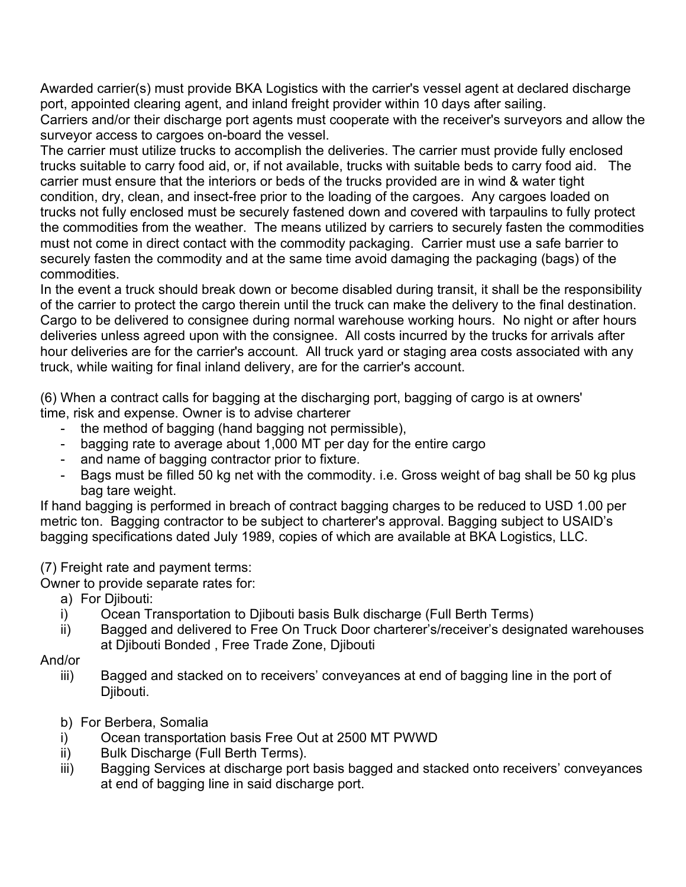Awarded carrier(s) must provide BKA Logistics with the carrier's vessel agent at declared discharge port, appointed clearing agent, and inland freight provider within 10 days after sailing.

Carriers and/or their discharge port agents must cooperate with the receiver's surveyors and allow the surveyor access to cargoes on-board the vessel.

The carrier must utilize trucks to accomplish the deliveries. The carrier must provide fully enclosed trucks suitable to carry food aid, or, if not available, trucks with suitable beds to carry food aid. The carrier must ensure that the interiors or beds of the trucks provided are in wind & water tight condition, dry, clean, and insect-free prior to the loading of the cargoes. Any cargoes loaded on trucks not fully enclosed must be securely fastened down and covered with tarpaulins to fully protect the commodities from the weather. The means utilized by carriers to securely fasten the commodities must not come in direct contact with the commodity packaging. Carrier must use a safe barrier to securely fasten the commodity and at the same time avoid damaging the packaging (bags) of the commodities.

In the event a truck should break down or become disabled during transit, it shall be the responsibility of the carrier to protect the cargo therein until the truck can make the delivery to the final destination. Cargo to be delivered to consignee during normal warehouse working hours. No night or after hours deliveries unless agreed upon with the consignee. All costs incurred by the trucks for arrivals after hour deliveries are for the carrier's account. All truck yard or staging area costs associated with any truck, while waiting for final inland delivery, are for the carrier's account.

(6) When a contract calls for bagging at the discharging port, bagging of cargo is at owners' time, risk and expense. Owner is to advise charterer

- the method of bagging (hand bagging not permissible),
- bagging rate to average about 1,000 MT per day for the entire cargo
- and name of bagging contractor prior to fixture.
- Bags must be filled 50 kg net with the commodity. i.e. Gross weight of bag shall be 50 kg plus bag tare weight.

If hand bagging is performed in breach of contract bagging charges to be reduced to USD 1.00 per metric ton. Bagging contractor to be subject to charterer's approval. Bagging subject to USAID's bagging specifications dated July 1989, copies of which are available at BKA Logistics, LLC.

(7) Freight rate and payment terms:

Owner to provide separate rates for:

- a) For Djibouti:
- i) Ocean Transportation to Djibouti basis Bulk discharge (Full Berth Terms)
- ii) Bagged and delivered to Free On Truck Door charterer's/receiver's designated warehouses at Djibouti Bonded , Free Trade Zone, Djibouti
- And/or
	- iii) Bagged and stacked on to receivers' conveyances at end of bagging line in the port of Djibouti.
	- b) For Berbera, Somalia
	- i) Ocean transportation basis Free Out at 2500 MT PWWD
	- ii) Bulk Discharge (Full Berth Terms).
	- iii) Bagging Services at discharge port basis bagged and stacked onto receivers' conveyances at end of bagging line in said discharge port.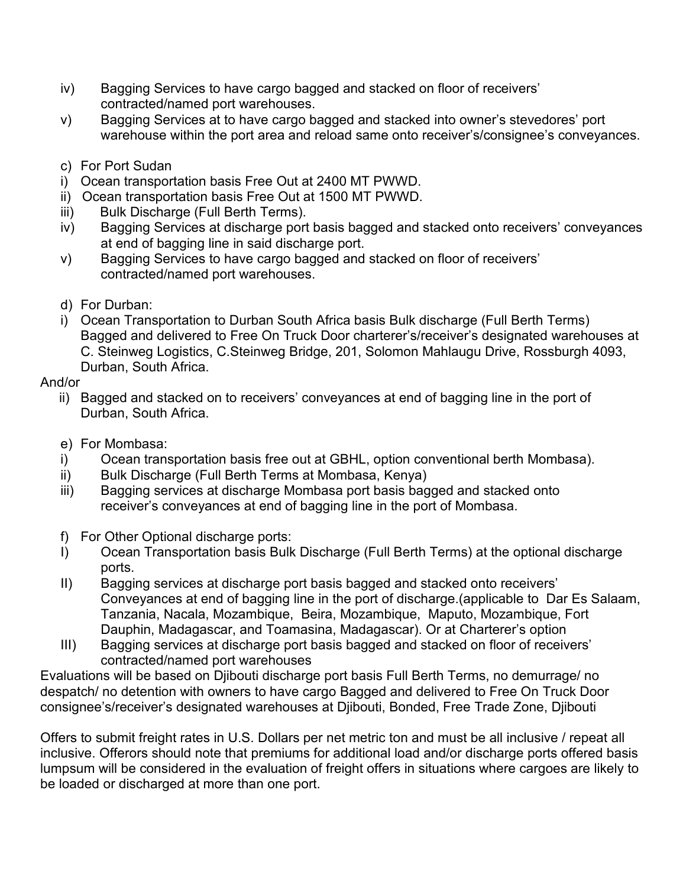- iv) Bagging Services to have cargo bagged and stacked on floor of receivers' contracted/named port warehouses.
- v) Bagging Services at to have cargo bagged and stacked into owner's stevedores' port warehouse within the port area and reload same onto receiver's/consignee's conveyances.
- c) For Port Sudan
- i) Ocean transportation basis Free Out at 2400 MT PWWD.
- ii) Ocean transportation basis Free Out at 1500 MT PWWD.
- iii) Bulk Discharge (Full Berth Terms).
- iv) Bagging Services at discharge port basis bagged and stacked onto receivers' conveyances at end of bagging line in said discharge port.
- v) Bagging Services to have cargo bagged and stacked on floor of receivers' contracted/named port warehouses.
- d) For Durban:
- i) Ocean Transportation to Durban South Africa basis Bulk discharge (Full Berth Terms) Bagged and delivered to Free On Truck Door charterer's/receiver's designated warehouses at C. Steinweg Logistics, C.Steinweg Bridge, 201, Solomon Mahlaugu Drive, Rossburgh 4093, Durban, South Africa.

## And/or

- ii) Bagged and stacked on to receivers' conveyances at end of bagging line in the port of Durban, South Africa.
- e) For Mombasa:
- i) Ocean transportation basis free out at GBHL, option conventional berth Mombasa).
- ii) Bulk Discharge (Full Berth Terms at Mombasa, Kenya)
- iii) Bagging services at discharge Mombasa port basis bagged and stacked onto receiver's conveyances at end of bagging line in the port of Mombasa.
- f) For Other Optional discharge ports:
- I) Ocean Transportation basis Bulk Discharge (Full Berth Terms) at the optional discharge ports.
- II) Bagging services at discharge port basis bagged and stacked onto receivers' Conveyances at end of bagging line in the port of discharge.(applicable to Dar Es Salaam, Tanzania, Nacala, Mozambique, Beira, Mozambique, Maputo, Mozambique, Fort Dauphin, Madagascar, and Toamasina, Madagascar). Or at Charterer's option
- III) Bagging services at discharge port basis bagged and stacked on floor of receivers' contracted/named port warehouses

Evaluations will be based on Djibouti discharge port basis Full Berth Terms, no demurrage/ no despatch/ no detention with owners to have cargo Bagged and delivered to Free On Truck Door consignee's/receiver's designated warehouses at Djibouti, Bonded, Free Trade Zone, Djibouti

Offers to submit freight rates in U.S. Dollars per net metric ton and must be all inclusive / repeat all inclusive. Offerors should note that premiums for additional load and/or discharge ports offered basis lumpsum will be considered in the evaluation of freight offers in situations where cargoes are likely to be loaded or discharged at more than one port.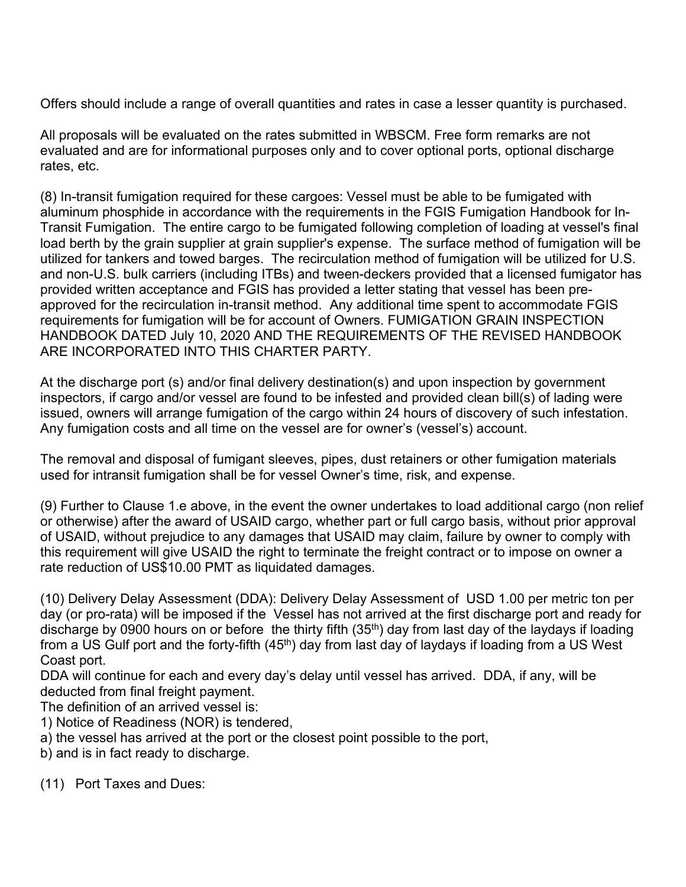Offers should include a range of overall quantities and rates in case a lesser quantity is purchased.

All proposals will be evaluated on the rates submitted in WBSCM. Free form remarks are not evaluated and are for informational purposes only and to cover optional ports, optional discharge rates, etc.

(8) In-transit fumigation required for these cargoes: Vessel must be able to be fumigated with aluminum phosphide in accordance with the requirements in the FGIS Fumigation Handbook for In-Transit Fumigation. The entire cargo to be fumigated following completion of loading at vessel's final load berth by the grain supplier at grain supplier's expense. The surface method of fumigation will be utilized for tankers and towed barges. The recirculation method of fumigation will be utilized for U.S. and non-U.S. bulk carriers (including ITBs) and tween-deckers provided that a licensed fumigator has provided written acceptance and FGIS has provided a letter stating that vessel has been preapproved for the recirculation in-transit method. Any additional time spent to accommodate FGIS requirements for fumigation will be for account of Owners. FUMIGATION GRAIN INSPECTION HANDBOOK DATED July 10, 2020 AND THE REQUIREMENTS OF THE REVISED HANDBOOK ARE INCORPORATED INTO THIS CHARTER PARTY.

At the discharge port (s) and/or final delivery destination(s) and upon inspection by government inspectors, if cargo and/or vessel are found to be infested and provided clean bill(s) of lading were issued, owners will arrange fumigation of the cargo within 24 hours of discovery of such infestation. Any fumigation costs and all time on the vessel are for owner's (vessel's) account.

The removal and disposal of fumigant sleeves, pipes, dust retainers or other fumigation materials used for intransit fumigation shall be for vessel Owner's time, risk, and expense.

(9) Further to Clause 1.e above, in the event the owner undertakes to load additional cargo (non relief or otherwise) after the award of USAID cargo, whether part or full cargo basis, without prior approval of USAID, without prejudice to any damages that USAID may claim, failure by owner to comply with this requirement will give USAID the right to terminate the freight contract or to impose on owner a rate reduction of US\$10.00 PMT as liquidated damages.

(10) Delivery Delay Assessment (DDA): Delivery Delay Assessment of USD 1.00 per metric ton per day (or pro-rata) will be imposed if the Vessel has not arrived at the first discharge port and ready for discharge by 0900 hours on or before the thirty fifth  $(35<sup>th</sup>)$  day from last day of the laydays if loading from a US Gulf port and the forty-fifth (45<sup>th</sup>) day from last day of laydays if loading from a US West Coast port.

DDA will continue for each and every day's delay until vessel has arrived. DDA, if any, will be deducted from final freight payment.

The definition of an arrived vessel is:

- 1) Notice of Readiness (NOR) is tendered,
- a) the vessel has arrived at the port or the closest point possible to the port,
- b) and is in fact ready to discharge.
- (11) Port Taxes and Dues: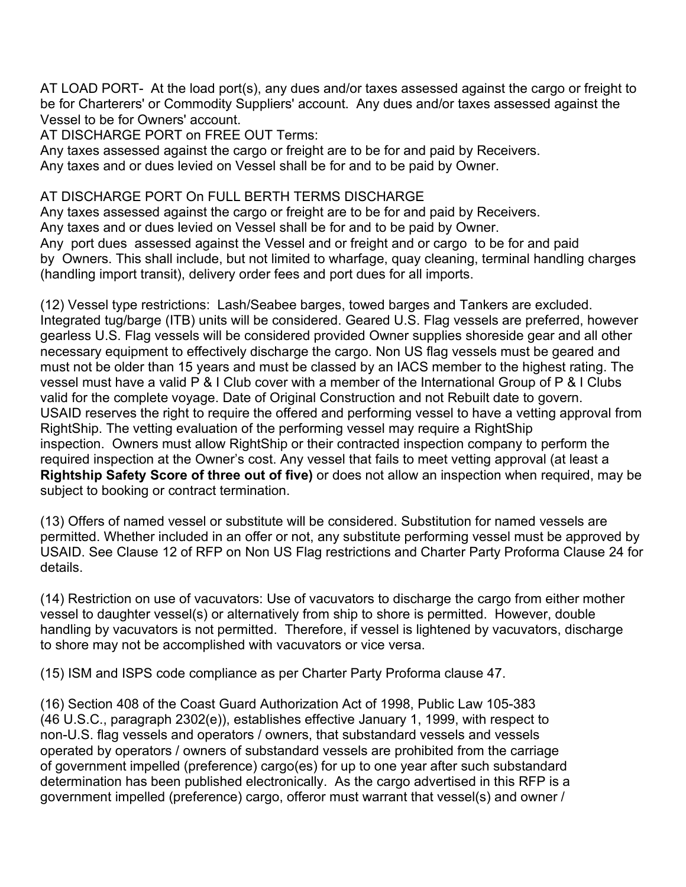AT LOAD PORT- At the load port(s), any dues and/or taxes assessed against the cargo or freight to be for Charterers' or Commodity Suppliers' account. Any dues and/or taxes assessed against the Vessel to be for Owners' account.

AT DISCHARGE PORT on FREE OUT Terms:

Any taxes assessed against the cargo or freight are to be for and paid by Receivers. Any taxes and or dues levied on Vessel shall be for and to be paid by Owner.

## AT DISCHARGE PORT On FULL BERTH TERMS DISCHARGE

Any taxes assessed against the cargo or freight are to be for and paid by Receivers. Any taxes and or dues levied on Vessel shall be for and to be paid by Owner. Any port dues assessed against the Vessel and or freight and or cargo to be for and paid by Owners. This shall include, but not limited to wharfage, quay cleaning, terminal handling charges (handling import transit), delivery order fees and port dues for all imports.

(12) Vessel type restrictions: Lash/Seabee barges, towed barges and Tankers are excluded. Integrated tug/barge (ITB) units will be considered. Geared U.S. Flag vessels are preferred, however gearless U.S. Flag vessels will be considered provided Owner supplies shoreside gear and all other necessary equipment to effectively discharge the cargo. Non US flag vessels must be geared and must not be older than 15 years and must be classed by an IACS member to the highest rating. The vessel must have a valid P & I Club cover with a member of the International Group of P & I Clubs valid for the complete voyage. Date of Original Construction and not Rebuilt date to govern. USAID reserves the right to require the offered and performing vessel to have a vetting approval from RightShip. The vetting evaluation of the performing vessel may require a RightShip inspection. Owners must allow RightShip or their contracted inspection company to perform the required inspection at the Owner's cost. Any vessel that fails to meet vetting approval (at least a **Rightship Safety Score of three out of five)** or does not allow an inspection when required, may be subject to booking or contract termination.

(13) Offers of named vessel or substitute will be considered. Substitution for named vessels are permitted. Whether included in an offer or not, any substitute performing vessel must be approved by USAID. See Clause 12 of RFP on Non US Flag restrictions and Charter Party Proforma Clause 24 for details.

(14) Restriction on use of vacuvators: Use of vacuvators to discharge the cargo from either mother vessel to daughter vessel(s) or alternatively from ship to shore is permitted. However, double handling by vacuvators is not permitted. Therefore, if vessel is lightened by vacuvators, discharge to shore may not be accomplished with vacuvators or vice versa.

(15) ISM and ISPS code compliance as per Charter Party Proforma clause 47.

(16) Section 408 of the Coast Guard Authorization Act of 1998, Public Law 105-383 (46 U.S.C., paragraph 2302(e)), establishes effective January 1, 1999, with respect to non-U.S. flag vessels and operators / owners, that substandard vessels and vessels operated by operators / owners of substandard vessels are prohibited from the carriage of government impelled (preference) cargo(es) for up to one year after such substandard determination has been published electronically. As the cargo advertised in this RFP is a government impelled (preference) cargo, offeror must warrant that vessel(s) and owner /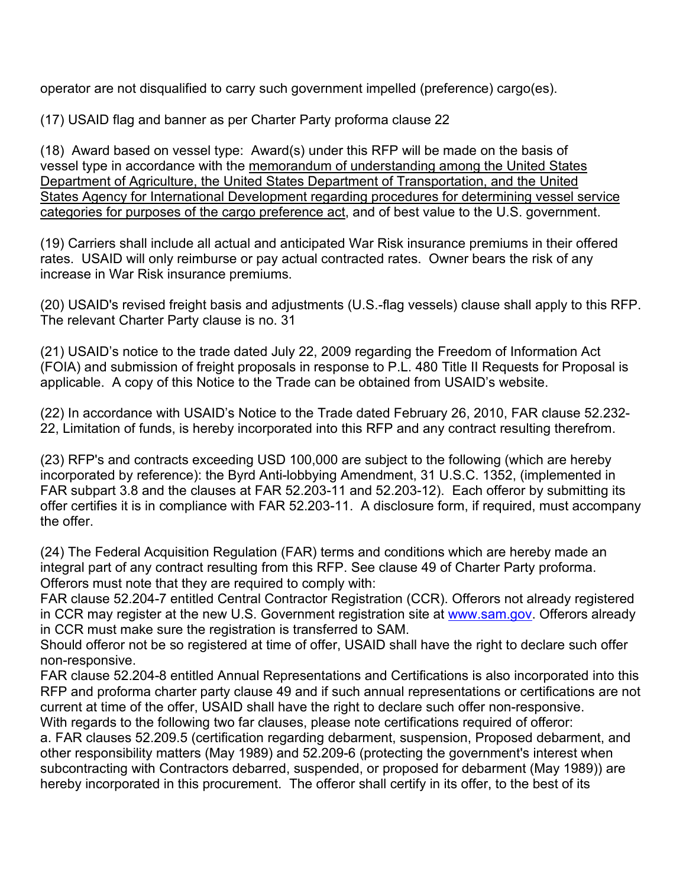operator are not disqualified to carry such government impelled (preference) cargo(es).

(17) USAID flag and banner as per Charter Party proforma clause 22

(18) Award based on vessel type: Award(s) under this RFP will be made on the basis of vessel type in accordance with the memorandum of understanding among the United States Department of Agriculture, the United States Department of Transportation, and the United States Agency for International Development regarding procedures for determining vessel service categories for purposes of the cargo preference act, and of best value to the U.S. government.

(19) Carriers shall include all actual and anticipated War Risk insurance premiums in their offered rates. USAID will only reimburse or pay actual contracted rates. Owner bears the risk of any increase in War Risk insurance premiums.

(20) USAID's revised freight basis and adjustments (U.S.-flag vessels) clause shall apply to this RFP. The relevant Charter Party clause is no. 31

(21) USAID's notice to the trade dated July 22, 2009 regarding the Freedom of Information Act (FOIA) and submission of freight proposals in response to P.L. 480 Title II Requests for Proposal is applicable. A copy of this Notice to the Trade can be obtained from USAID's website.

(22) In accordance with USAID's Notice to the Trade dated February 26, 2010, FAR clause 52.232- 22, Limitation of funds, is hereby incorporated into this RFP and any contract resulting therefrom.

(23) RFP's and contracts exceeding USD 100,000 are subject to the following (which are hereby incorporated by reference): the Byrd Anti-lobbying Amendment, 31 U.S.C. 1352, (implemented in FAR subpart 3.8 and the clauses at FAR 52.203-11 and 52.203-12). Each offeror by submitting its offer certifies it is in compliance with FAR 52.203-11. A disclosure form, if required, must accompany the offer.

(24) The Federal Acquisition Regulation (FAR) terms and conditions which are hereby made an integral part of any contract resulting from this RFP. See clause 49 of Charter Party proforma. Offerors must note that they are required to comply with:

FAR clause 52.204-7 entitled Central Contractor Registration (CCR). Offerors not already registered in CCR may register at the new U.S. Government registration site at www.sam.gov. Offerors already in CCR must make sure the registration is transferred to SAM.

Should offeror not be so registered at time of offer, USAID shall have the right to declare such offer non-responsive.

FAR clause 52.204-8 entitled Annual Representations and Certifications is also incorporated into this RFP and proforma charter party clause 49 and if such annual representations or certifications are not current at time of the offer, USAID shall have the right to declare such offer non-responsive. With regards to the following two far clauses, please note certifications required of offeror:

a. FAR clauses 52.209.5 (certification regarding debarment, suspension, Proposed debarment, and other responsibility matters (May 1989) and 52.209-6 (protecting the government's interest when subcontracting with Contractors debarred, suspended, or proposed for debarment (May 1989)) are hereby incorporated in this procurement. The offeror shall certify in its offer, to the best of its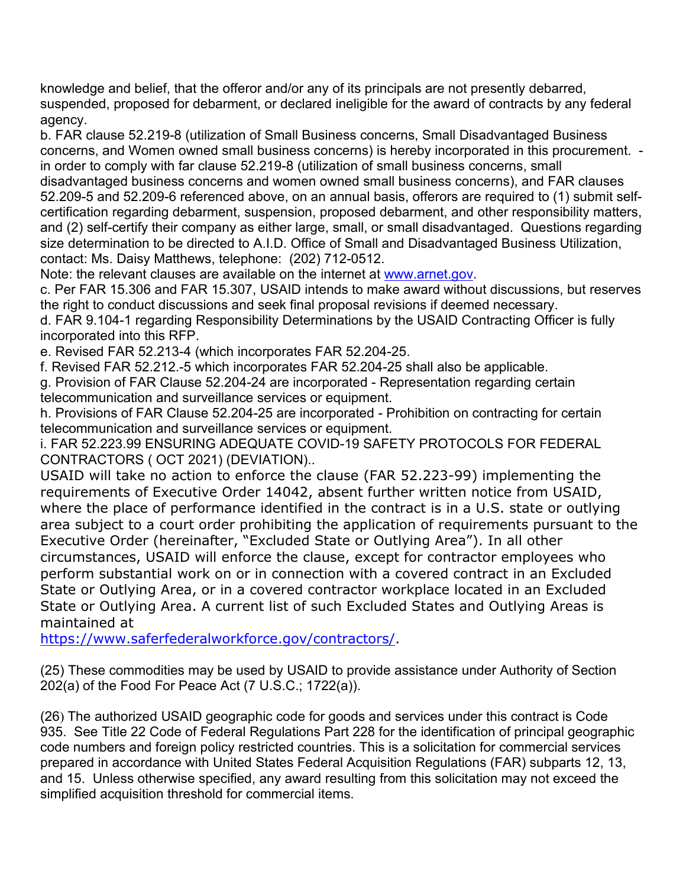knowledge and belief, that the offeror and/or any of its principals are not presently debarred, suspended, proposed for debarment, or declared ineligible for the award of contracts by any federal agency.

b. FAR clause 52.219-8 (utilization of Small Business concerns, Small Disadvantaged Business concerns, and Women owned small business concerns) is hereby incorporated in this procurement. in order to comply with far clause 52.219-8 (utilization of small business concerns, small disadvantaged business concerns and women owned small business concerns), and FAR clauses 52.209-5 and 52.209-6 referenced above, on an annual basis, offerors are required to (1) submit selfcertification regarding debarment, suspension, proposed debarment, and other responsibility matters, and (2) self-certify their company as either large, small, or small disadvantaged. Questions regarding size determination to be directed to A.I.D. Office of Small and Disadvantaged Business Utilization, contact: Ms. Daisy Matthews, telephone: (202) 712-0512.

Note: the relevant clauses are available on the internet at www.arnet.gov.

c. Per FAR 15.306 and FAR 15.307, USAID intends to make award without discussions, but reserves the right to conduct discussions and seek final proposal revisions if deemed necessary.

d. FAR 9.104-1 regarding Responsibility Determinations by the USAID Contracting Officer is fully incorporated into this RFP.

e. Revised FAR 52.213-4 (which incorporates FAR 52.204-25.

f. Revised FAR 52.212.-5 which incorporates FAR 52.204-25 shall also be applicable.

g. Provision of FAR Clause 52.204-24 are incorporated - Representation regarding certain telecommunication and surveillance services or equipment.

h. Provisions of FAR Clause 52.204-25 are incorporated - Prohibition on contracting for certain telecommunication and surveillance services or equipment.

i. FAR 52.223.99 ENSURING ADEQUATE COVID-19 SAFETY PROTOCOLS FOR FEDERAL CONTRACTORS ( OCT 2021) (DEVIATION)..

USAID will take no action to enforce the clause (FAR 52.223-99) implementing the requirements of Executive Order 14042, absent further written notice from USAID, where the place of performance identified in the contract is in a U.S. state or outlying area subject to a court order prohibiting the application of requirements pursuant to the Executive Order (hereinafter, "Excluded State or Outlying Area"). In all other circumstances, USAID will enforce the clause, except for contractor employees who perform substantial work on or in connection with a covered contract in an Excluded State or Outlying Area, or in a covered contractor workplace located in an Excluded State or Outlying Area. A current list of such Excluded States and Outlying Areas is maintained at

https://www.saferfederalworkforce.gov/contractors/.

(25) These commodities may be used by USAID to provide assistance under Authority of Section 202(a) of the Food For Peace Act (7 U.S.C.; 1722(a)).

(26) The authorized USAID geographic code for goods and services under this contract is Code 935. See Title 22 Code of Federal Regulations Part 228 for the identification of principal geographic code numbers and foreign policy restricted countries. This is a solicitation for commercial services prepared in accordance with United States Federal Acquisition Regulations (FAR) subparts 12, 13, and 15. Unless otherwise specified, any award resulting from this solicitation may not exceed the simplified acquisition threshold for commercial items.